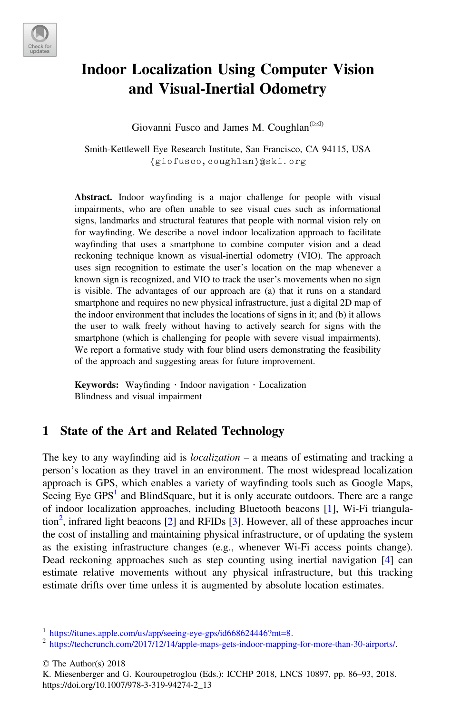

# Indoor Localization Using Computer Vision and Visual-Inertial Odometry

Giovanni Fusco and James M. Coughlan<sup>( $\boxtimes$ )</sup>

Smith-Kettlewell Eye Research Institute, San Francisco, CA 94115, USA  ${g}$ 

Abstract. Indoor wayfinding is a major challenge for people with visual impairments, who are often unable to see visual cues such as informational signs, landmarks and structural features that people with normal vision rely on for wayfinding. We describe a novel indoor localization approach to facilitate wayfinding that uses a smartphone to combine computer vision and a dead reckoning technique known as visual-inertial odometry (VIO). The approach uses sign recognition to estimate the user's location on the map whenever a known sign is recognized, and VIO to track the user's movements when no sign is visible. The advantages of our approach are (a) that it runs on a standard smartphone and requires no new physical infrastructure, just a digital 2D map of the indoor environment that includes the locations of signs in it; and (b) it allows the user to walk freely without having to actively search for signs with the smartphone (which is challenging for people with severe visual impairments). We report a formative study with four blind users demonstrating the feasibility of the approach and suggesting areas for future improvement.

Keywords: Wayfinding  $\cdot$  Indoor navigation  $\cdot$  Localization Blindness and visual impairment

## 1 State of the Art and Related Technology

The key to any wayfinding aid is *localization*  $-$  a means of estimating and tracking a person's location as they travel in an environment. The most widespread localization approach is GPS, which enables a variety of wayfinding tools such as Google Maps, Seeing Eye  $GPS<sup>1</sup>$  and BlindSquare, but it is only accurate outdoors. There are a range of indoor localization approaches, including Bluetooth beacons [\[1](#page-6-0)], Wi-Fi triangula-tion<sup>2</sup>, infrared light beacons [\[2](#page-6-0)] and RFIDs [[3\]](#page-6-0). However, all of these approaches incur the cost of installing and maintaining physical infrastructure, or of updating the system as the existing infrastructure changes (e.g., whenever Wi-Fi access points change). Dead reckoning approaches such as step counting using inertial navigation [\[4](#page-6-0)] can estimate relative movements without any physical infrastructure, but this tracking estimate drifts over time unless it is augmented by absolute location estimates.

<sup>1</sup> [https://itunes.apple.com/us/app/seeing-eye-gps/id668624446?mt=8.](https://itunes.apple.com/us/app/seeing-eye-gps/id668624446?mt=8) <sup>2</sup> [https://techcrunch.com/2017/12/14/apple-maps-gets-indoor-mapping-for-more-than-30-airports/.](https://techcrunch.com/2017/12/14/apple-maps-gets-indoor-mapping-for-more-than-30-airports/)

<sup>©</sup> The Author(s) 2018

K. Miesenberger and G. Kouroupetroglou (Eds.): ICCHP 2018, LNCS 10897, pp. 86–93, 2018. https://doi.org/10.1007/978-3-319-94274-2\_13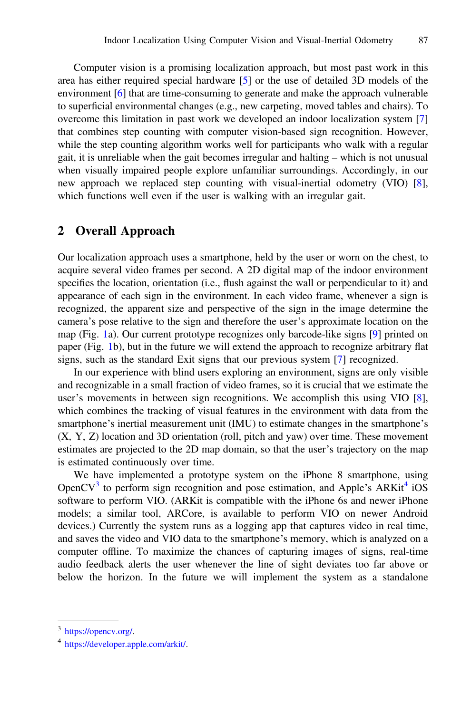Computer vision is a promising localization approach, but most past work in this area has either required special hardware [[5\]](#page-6-0) or the use of detailed 3D models of the environment [[6\]](#page-6-0) that are time-consuming to generate and make the approach vulnerable to superficial environmental changes (e.g., new carpeting, moved tables and chairs). To overcome this limitation in past work we developed an indoor localization system [\[7](#page-7-0)] that combines step counting with computer vision-based sign recognition. However, while the step counting algorithm works well for participants who walk with a regular gait, it is unreliable when the gait becomes irregular and halting – which is not unusual when visually impaired people explore unfamiliar surroundings. Accordingly, in our new approach we replaced step counting with visual-inertial odometry (VIO) [[8\]](#page-7-0), which functions well even if the user is walking with an irregular gait.

#### 2 Overall Approach

Our localization approach uses a smartphone, held by the user or worn on the chest, to acquire several video frames per second. A 2D digital map of the indoor environment specifies the location, orientation (i.e., flush against the wall or perpendicular to it) and appearance of each sign in the environment. In each video frame, whenever a sign is recognized, the apparent size and perspective of the sign in the image determine the camera's pose relative to the sign and therefore the user's approximate location on the map (Fig. [1a](#page-2-0)). Our current prototype recognizes only barcode-like signs [[9\]](#page-7-0) printed on paper (Fig. [1b](#page-2-0)), but in the future we will extend the approach to recognize arbitrary flat signs, such as the standard Exit signs that our previous system [[7\]](#page-7-0) recognized.

In our experience with blind users exploring an environment, signs are only visible and recognizable in a small fraction of video frames, so it is crucial that we estimate the user's movements in between sign recognitions. We accomplish this using VIO [[8\]](#page-7-0), which combines the tracking of visual features in the environment with data from the smartphone's inertial measurement unit (IMU) to estimate changes in the smartphone's (X, Y, Z) location and 3D orientation (roll, pitch and yaw) over time. These movement estimates are projected to the 2D map domain, so that the user's trajectory on the map is estimated continuously over time.

We have implemented a prototype system on the iPhone 8 smartphone, using OpenCV<sup>3</sup> to perform sign recognition and pose estimation, and Apple's  $ARKi<sup>4</sup> iOS$ software to perform VIO. (ARKit is compatible with the iPhone 6s and newer iPhone models; a similar tool, ARCore, is available to perform VIO on newer Android devices.) Currently the system runs as a logging app that captures video in real time, and saves the video and VIO data to the smartphone's memory, which is analyzed on a computer offline. To maximize the chances of capturing images of signs, real-time audio feedback alerts the user whenever the line of sight deviates too far above or below the horizon. In the future we will implement the system as a standalone

<sup>3</sup> [https://opencv.org/.](https://opencv.org/)

<sup>4</sup> <https://developer.apple.com/arkit/>.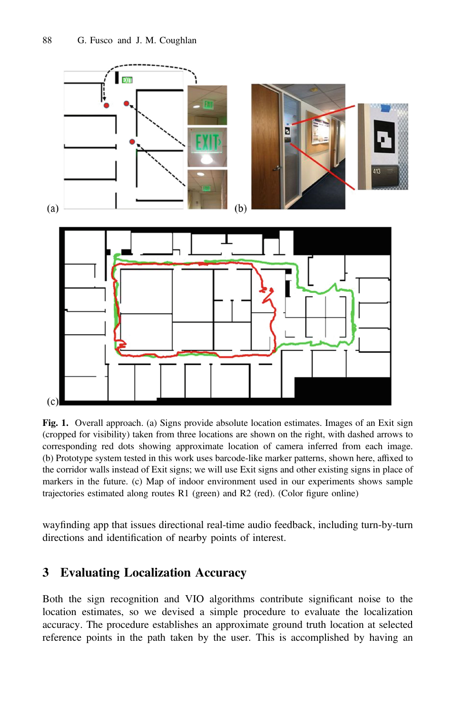<span id="page-2-0"></span>

Fig. 1. Overall approach. (a) Signs provide absolute location estimates. Images of an Exit sign (cropped for visibility) taken from three locations are shown on the right, with dashed arrows to corresponding red dots showing approximate location of camera inferred from each image. (b) Prototype system tested in this work uses barcode-like marker patterns, shown here, affixed to the corridor walls instead of Exit signs; we will use Exit signs and other existing signs in place of markers in the future. (c) Map of indoor environment used in our experiments shows sample trajectories estimated along routes R1 (green) and R2 (red). (Color figure online)

wayfinding app that issues directional real-time audio feedback, including turn-by-turn directions and identification of nearby points of interest.

## 3 Evaluating Localization Accuracy

Both the sign recognition and VIO algorithms contribute significant noise to the location estimates, so we devised a simple procedure to evaluate the localization accuracy. The procedure establishes an approximate ground truth location at selected reference points in the path taken by the user. This is accomplished by having an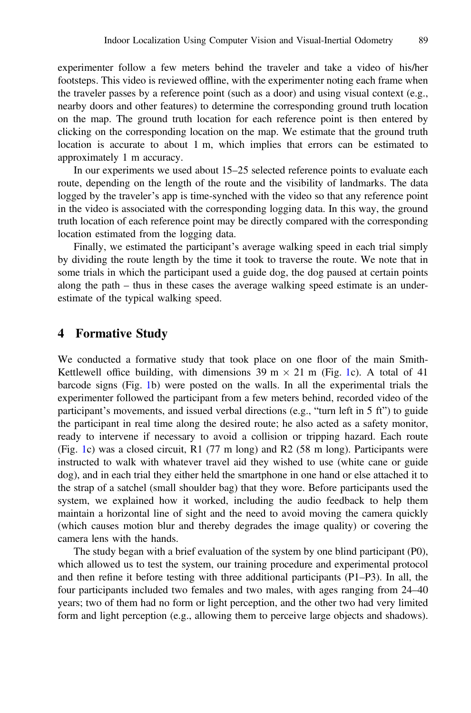experimenter follow a few meters behind the traveler and take a video of his/her footsteps. This video is reviewed offline, with the experimenter noting each frame when the traveler passes by a reference point (such as a door) and using visual context (e.g., nearby doors and other features) to determine the corresponding ground truth location on the map. The ground truth location for each reference point is then entered by clicking on the corresponding location on the map. We estimate that the ground truth location is accurate to about 1 m, which implies that errors can be estimated to approximately 1 m accuracy.

In our experiments we used about 15–25 selected reference points to evaluate each route, depending on the length of the route and the visibility of landmarks. The data logged by the traveler's app is time-synched with the video so that any reference point in the video is associated with the corresponding logging data. In this way, the ground truth location of each reference point may be directly compared with the corresponding location estimated from the logging data.

Finally, we estimated the participant's average walking speed in each trial simply by dividing the route length by the time it took to traverse the route. We note that in some trials in which the participant used a guide dog, the dog paused at certain points along the path – thus in these cases the average walking speed estimate is an underestimate of the typical walking speed.

### 4 Formative Study

We conducted a formative study that took place on one floor of the main Smith-Kettlewell office building, with dimensions 39 m  $\times$  2[1](#page-2-0) m (Fig. 1c). A total of 41 barcode signs (Fig. [1](#page-2-0)b) were posted on the walls. In all the experimental trials the experimenter followed the participant from a few meters behind, recorded video of the participant's movements, and issued verbal directions (e.g., "turn left in 5 ft") to guide the participant in real time along the desired route; he also acted as a safety monitor, ready to intervene if necessary to avoid a collision or tripping hazard. Each route (Fig. [1](#page-2-0)c) was a closed circuit, R1 (77 m long) and R2 (58 m long). Participants were instructed to walk with whatever travel aid they wished to use (white cane or guide dog), and in each trial they either held the smartphone in one hand or else attached it to the strap of a satchel (small shoulder bag) that they wore. Before participants used the system, we explained how it worked, including the audio feedback to help them maintain a horizontal line of sight and the need to avoid moving the camera quickly (which causes motion blur and thereby degrades the image quality) or covering the camera lens with the hands.

The study began with a brief evaluation of the system by one blind participant (P0), which allowed us to test the system, our training procedure and experimental protocol and then refine it before testing with three additional participants (P1–P3). In all, the four participants included two females and two males, with ages ranging from 24–40 years; two of them had no form or light perception, and the other two had very limited form and light perception (e.g., allowing them to perceive large objects and shadows).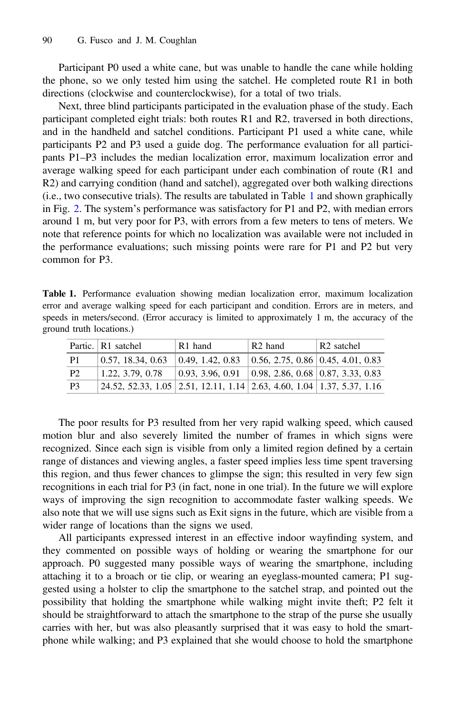<span id="page-4-0"></span>Participant P0 used a white cane, but was unable to handle the cane while holding the phone, so we only tested him using the satchel. He completed route R1 in both directions (clockwise and counterclockwise), for a total of two trials.

Next, three blind participants participated in the evaluation phase of the study. Each participant completed eight trials: both routes R1 and R2, traversed in both directions, and in the handheld and satchel conditions. Participant P1 used a white cane, while participants P2 and P3 used a guide dog. The performance evaluation for all participants P1–P3 includes the median localization error, maximum localization error and average walking speed for each participant under each combination of route (R1 and R2) and carrying condition (hand and satchel), aggregated over both walking directions (i.e., two consecutive trials). The results are tabulated in Table 1 and shown graphically in Fig. [2.](#page-5-0) The system's performance was satisfactory for P1 and P2, with median errors around 1 m, but very poor for P3, with errors from a few meters to tens of meters. We note that reference points for which no localization was available were not included in the performance evaluations; such missing points were rare for P1 and P2 but very common for P3.

Table 1. Performance evaluation showing median localization error, maximum localization error and average walking speed for each participant and condition. Errors are in meters, and speeds in meters/second. (Error accuracy is limited to approximately 1 m, the accuracy of the ground truth locations.)

|                | Partic. R1 satchel                                                                                     | R1 hand                  | R <sub>2</sub> hand                                   | R <sub>2</sub> satchel |
|----------------|--------------------------------------------------------------------------------------------------------|--------------------------|-------------------------------------------------------|------------------------|
| P1             | $\vert 0.57, 18.34, 0.63 \vert$                                                                        | $\vert$ 0.49, 1.42, 0.83 | $\vert 0.56, 2.75, 0.86 \vert 0.45, 4.01, 0.83 \vert$ |                        |
| P <sub>2</sub> | $\vert$ 1.22, 3.79, 0.78                                                                               | $\pm 0.93, 3.96, 0.91$   | $\vert 0.98, 2.86, 0.68 \vert 0.87, 3.33, 0.83 \vert$ |                        |
| <b>P</b> 3     | $\vert$ 24.52, 52.33, 1.05 $\vert$ 2.51, 12.11, 1.14 $\vert$ 2.63, 4.60, 1.04 $\vert$ 1.37, 5.37, 1.16 |                          |                                                       |                        |

The poor results for P3 resulted from her very rapid walking speed, which caused motion blur and also severely limited the number of frames in which signs were recognized. Since each sign is visible from only a limited region defined by a certain range of distances and viewing angles, a faster speed implies less time spent traversing this region, and thus fewer chances to glimpse the sign; this resulted in very few sign recognitions in each trial for P3 (in fact, none in one trial). In the future we will explore ways of improving the sign recognition to accommodate faster walking speeds. We also note that we will use signs such as Exit signs in the future, which are visible from a wider range of locations than the signs we used.

All participants expressed interest in an effective indoor wayfinding system, and they commented on possible ways of holding or wearing the smartphone for our approach. P0 suggested many possible ways of wearing the smartphone, including attaching it to a broach or tie clip, or wearing an eyeglass-mounted camera; P1 suggested using a holster to clip the smartphone to the satchel strap, and pointed out the possibility that holding the smartphone while walking might invite theft; P2 felt it should be straightforward to attach the smartphone to the strap of the purse she usually carries with her, but was also pleasantly surprised that it was easy to hold the smartphone while walking; and P3 explained that she would choose to hold the smartphone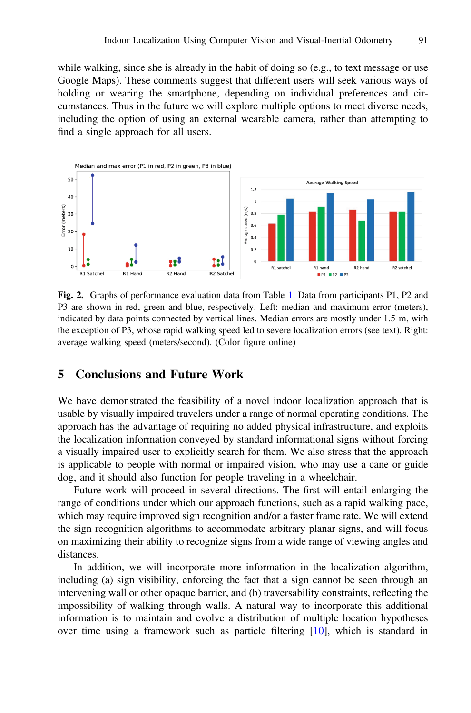<span id="page-5-0"></span>while walking, since she is already in the habit of doing so (e.g., to text message or use Google Maps). These comments suggest that different users will seek various ways of holding or wearing the smartphone, depending on individual preferences and circumstances. Thus in the future we will explore multiple options to meet diverse needs, including the option of using an external wearable camera, rather than attempting to find a single approach for all users.



Fig. 2. Graphs of performance evaluation data from Table [1](#page-4-0). Data from participants P1, P2 and P3 are shown in red, green and blue, respectively. Left: median and maximum error (meters), indicated by data points connected by vertical lines. Median errors are mostly under 1.5 m, with the exception of P3, whose rapid walking speed led to severe localization errors (see text). Right: average walking speed (meters/second). (Color figure online)

#### 5 Conclusions and Future Work

We have demonstrated the feasibility of a novel indoor localization approach that is usable by visually impaired travelers under a range of normal operating conditions. The approach has the advantage of requiring no added physical infrastructure, and exploits the localization information conveyed by standard informational signs without forcing a visually impaired user to explicitly search for them. We also stress that the approach is applicable to people with normal or impaired vision, who may use a cane or guide dog, and it should also function for people traveling in a wheelchair.

Future work will proceed in several directions. The first will entail enlarging the range of conditions under which our approach functions, such as a rapid walking pace, which may require improved sign recognition and/or a faster frame rate. We will extend the sign recognition algorithms to accommodate arbitrary planar signs, and will focus on maximizing their ability to recognize signs from a wide range of viewing angles and distances.

In addition, we will incorporate more information in the localization algorithm, including (a) sign visibility, enforcing the fact that a sign cannot be seen through an intervening wall or other opaque barrier, and (b) traversability constraints, reflecting the impossibility of walking through walls. A natural way to incorporate this additional information is to maintain and evolve a distribution of multiple location hypotheses over time using a framework such as particle filtering [\[10](#page-7-0)], which is standard in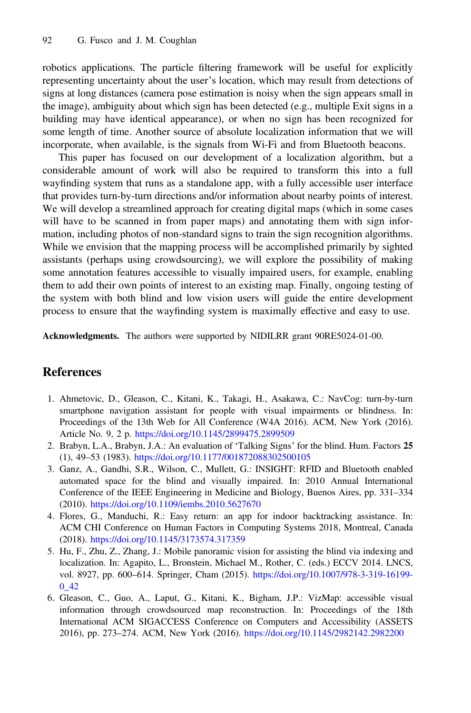<span id="page-6-0"></span>robotics applications. The particle filtering framework will be useful for explicitly representing uncertainty about the user's location, which may result from detections of signs at long distances (camera pose estimation is noisy when the sign appears small in the image), ambiguity about which sign has been detected (e.g., multiple Exit signs in a building may have identical appearance), or when no sign has been recognized for some length of time. Another source of absolute localization information that we will incorporate, when available, is the signals from Wi-Fi and from Bluetooth beacons.

This paper has focused on our development of a localization algorithm, but a considerable amount of work will also be required to transform this into a full wayfinding system that runs as a standalone app, with a fully accessible user interface that provides turn-by-turn directions and/or information about nearby points of interest. We will develop a streamlined approach for creating digital maps (which in some cases will have to be scanned in from paper maps) and annotating them with sign information, including photos of non-standard signs to train the sign recognition algorithms. While we envision that the mapping process will be accomplished primarily by sighted assistants (perhaps using crowdsourcing), we will explore the possibility of making some annotation features accessible to visually impaired users, for example, enabling them to add their own points of interest to an existing map. Finally, ongoing testing of the system with both blind and low vision users will guide the entire development process to ensure that the wayfinding system is maximally effective and easy to use.

Acknowledgments. The authors were supported by NIDILRR grant 90RE5024-01-00.

## **References**

- 1. Ahmetovic, D., Gleason, C., Kitani, K., Takagi, H., Asakawa, C.: NavCog: turn-by-turn smartphone navigation assistant for people with visual impairments or blindness. In: Proceedings of the 13th Web for All Conference (W4A 2016). ACM, New York (2016). Article No. 9, 2 p. [https://doi.org/10.1145/2899475.2899509](http://dx.doi.org/10.1145/2899475.2899509)
- 2. Brabyn, L.A., Brabyn, J.A.: An evaluation of 'Talking Signs' for the blind. Hum. Factors 25 (1), 49–53 (1983). [https://doi.org/10.1177/001872088302500105](http://dx.doi.org/10.1177/001872088302500105)
- 3. Ganz, A., Gandhi, S.R., Wilson, C., Mullett, G.: INSIGHT: RFID and Bluetooth enabled automated space for the blind and visually impaired. In: 2010 Annual International Conference of the IEEE Engineering in Medicine and Biology, Buenos Aires, pp. 331–334 (2010). [https://doi.org/10.1109/iembs.2010.5627670](http://dx.doi.org/10.1109/iembs.2010.5627670)
- 4. Flores, G., Manduchi, R.: Easy return: an app for indoor backtracking assistance. In: ACM CHI Conference on Human Factors in Computing Systems 2018, Montreal, Canada (2018). [https://doi.org/10.1145/3173574.317359](http://dx.doi.org/10.1145/3173574.317359)
- 5. Hu, F., Zhu, Z., Zhang, J.: Mobile panoramic vision for assisting the blind via indexing and localization. In: Agapito, L., Bronstein, Michael M., Rother, C. (eds.) ECCV 2014. LNCS, vol. 8927, pp. 600–614. Springer, Cham (2015). [https://doi.org/10.1007/978-3-319-16199-](http://dx.doi.org/10.1007/978-3-319-16199-0_42) [0\\_42](http://dx.doi.org/10.1007/978-3-319-16199-0_42)
- 6. Gleason, C., Guo, A., Laput, G., Kitani, K., Bigham, J.P.: VizMap: accessible visual information through crowdsourced map reconstruction. In: Proceedings of the 18th International ACM SIGACCESS Conference on Computers and Accessibility (ASSETS 2016), pp. 273–274. ACM, New York (2016). [https://doi.org/10.1145/2982142.2982200](http://dx.doi.org/10.1145/2982142.2982200)